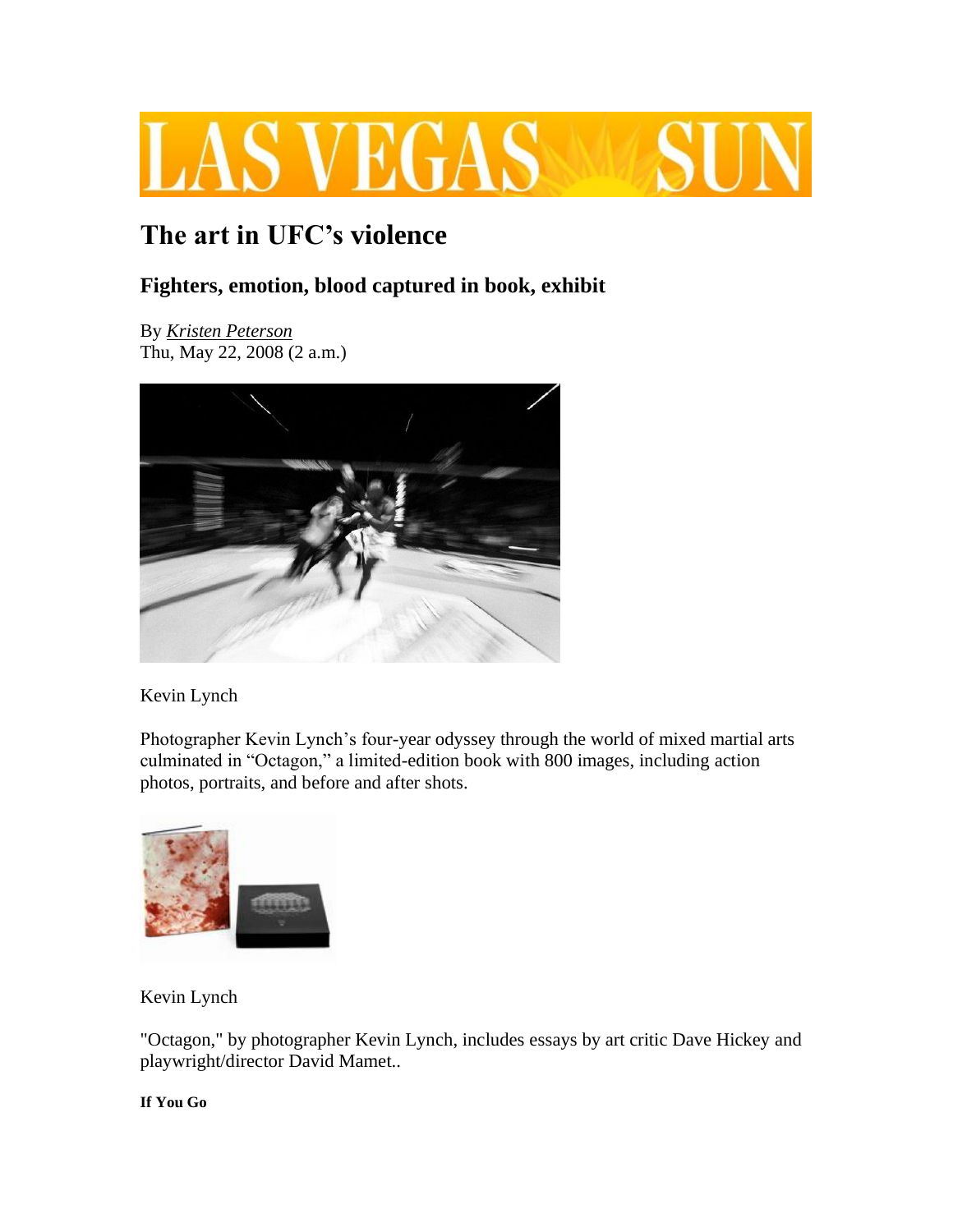

## **The art in UFC's violence**

## **Fighters, emotion, blood captured in book, exhibit**

By *[Kristen Peterson](http://www.lasvegassun.com/staff/kristen-peterson/)* Thu, May 22, 2008 (2 a.m.)



Kevin Lynch

Photographer Kevin Lynch's four-year odyssey through the world of mixed martial arts culminated in "Octagon," a limited-edition book with 800 images, including action photos, portraits, and before and after shots.



Kevin Lynch

"Octagon," by photographer Kevin Lynch, includes essays by art critic Dave Hickey and playwright/director David Mamet..

**If You Go**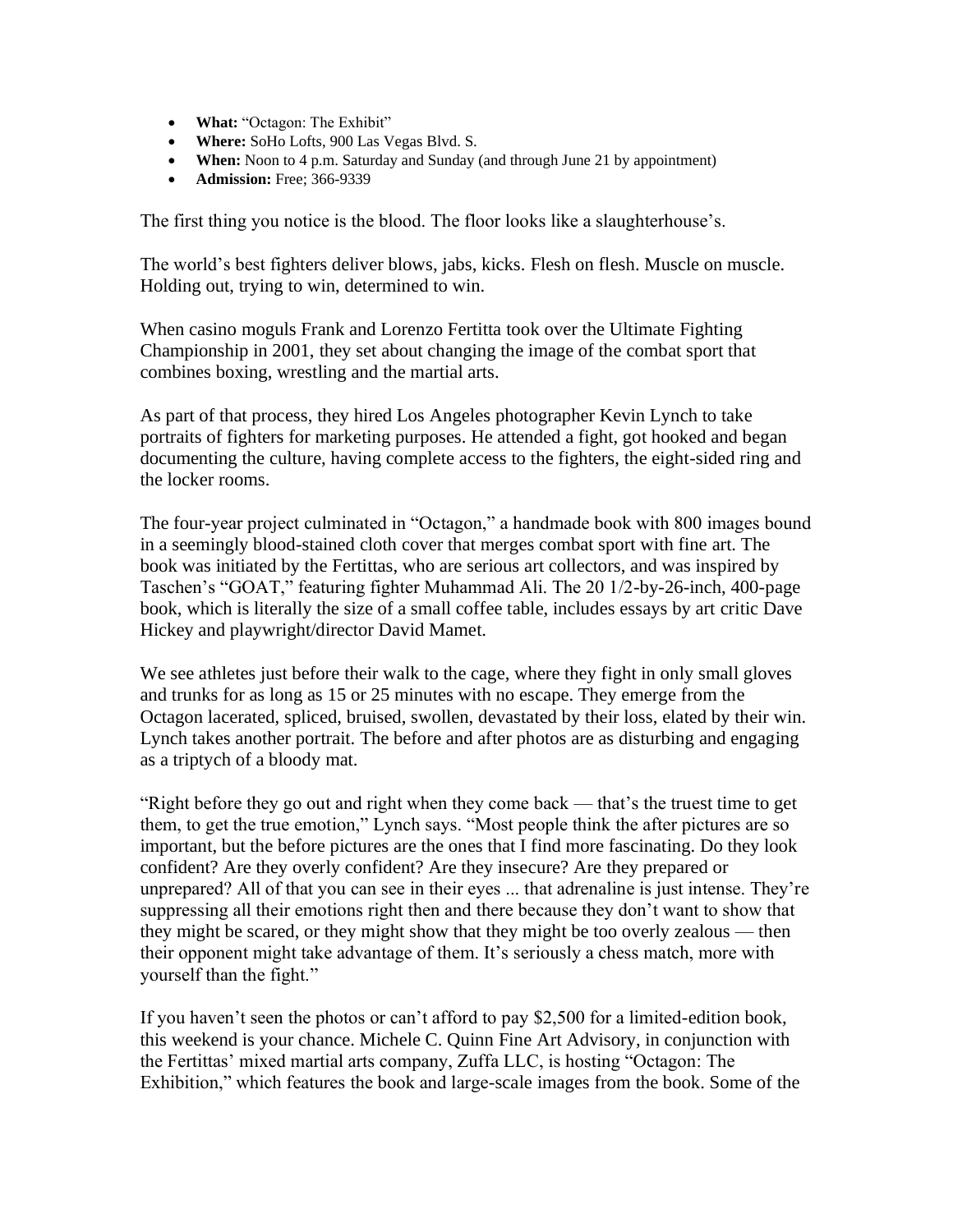- **What:** "Octagon: The Exhibit"
- **Where:** SoHo Lofts, 900 Las Vegas Blvd. S.
- **When:** Noon to 4 p.m. Saturday and Sunday (and through June 21 by appointment)
- **Admission:** Free; 366-9339

The first thing you notice is the blood. The floor looks like a slaughterhouse's.

The world's best fighters deliver blows, jabs, kicks. Flesh on flesh. Muscle on muscle. Holding out, trying to win, determined to win.

When casino moguls Frank and Lorenzo Fertitta took over the Ultimate Fighting Championship in 2001, they set about changing the image of the combat sport that combines boxing, wrestling and the martial arts.

As part of that process, they hired Los Angeles photographer Kevin Lynch to take portraits of fighters for marketing purposes. He attended a fight, got hooked and began documenting the culture, having complete access to the fighters, the eight-sided ring and the locker rooms.

The four-year project culminated in "Octagon," a handmade book with 800 images bound in a seemingly blood-stained cloth cover that merges combat sport with fine art. The book was initiated by the Fertittas, who are serious art collectors, and was inspired by Taschen's "GOAT," featuring fighter Muhammad Ali. The 20 1/2-by-26-inch, 400-page book, which is literally the size of a small coffee table, includes essays by art critic Dave Hickey and playwright/director David Mamet.

We see athletes just before their walk to the cage, where they fight in only small gloves and trunks for as long as 15 or 25 minutes with no escape. They emerge from the Octagon lacerated, spliced, bruised, swollen, devastated by their loss, elated by their win. Lynch takes another portrait. The before and after photos are as disturbing and engaging as a triptych of a bloody mat.

"Right before they go out and right when they come back — that's the truest time to get them, to get the true emotion," Lynch says. "Most people think the after pictures are so important, but the before pictures are the ones that I find more fascinating. Do they look confident? Are they overly confident? Are they insecure? Are they prepared or unprepared? All of that you can see in their eyes ... that adrenaline is just intense. They're suppressing all their emotions right then and there because they don't want to show that they might be scared, or they might show that they might be too overly zealous — then their opponent might take advantage of them. It's seriously a chess match, more with yourself than the fight."

If you haven't seen the photos or can't afford to pay \$2,500 for a limited-edition book, this weekend is your chance. Michele C. Quinn Fine Art Advisory, in conjunction with the Fertittas' mixed martial arts company, Zuffa LLC, is hosting "Octagon: The Exhibition," which features the book and large-scale images from the book. Some of the